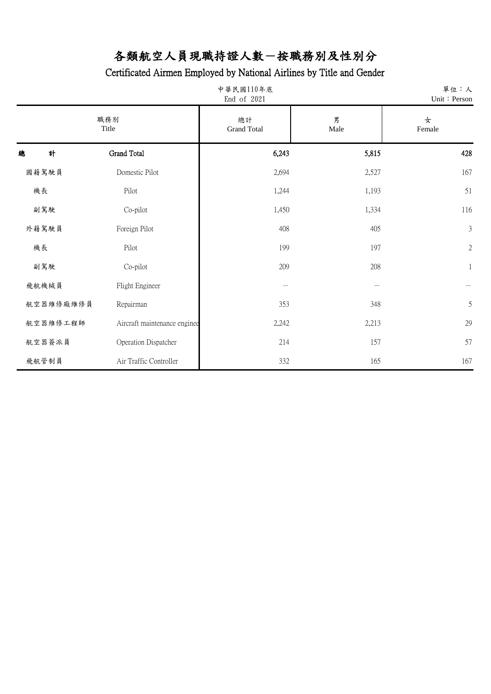|           | 中華民國110年底<br>End of 2021     |       |           | 單位:人<br>Unit: Person |
|-----------|------------------------------|-------|-----------|----------------------|
|           | 職務別<br>Title                 |       | 男<br>Male | 女<br>Female          |
| 計<br>總    | Grand Total                  | 6,243 | 5,815     | 428                  |
| 國籍駕駛員     | Domestic Pilot               | 2,694 | 2,527     | 167                  |
| 機長        | Pilot                        | 1,244 | 1,193     | 51                   |
| 副駕駛       | Co-pilot                     | 1,450 | 1,334     | 116                  |
| 外籍駕駛員     | Foreign Pilot                | 408   | 405       | $\mathfrak{Z}$       |
| 機長        | Pilot                        | 199   | 197       | $\sqrt{2}$           |
| 副駕駛       | Co-pilot                     | 209   | 208       | $\mathbf{1}$         |
| 飛航機械員     | Flight Engineer              |       |           |                      |
| 航空器維修廠維修員 | Repairman                    | 353   | 348       | 5                    |
| 航空器維修工程師  | Aircraft maintenance enginee | 2,242 | 2,213     | 29                   |
| 航空器簽派員    | Operation Dispatcher         | 214   | 157       | 57                   |
| 飛航管制員     | Air Traffic Controller       | 332   | 165       | 167                  |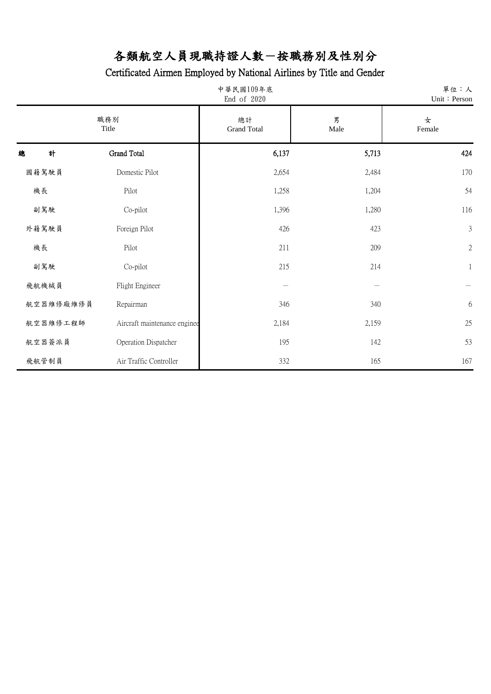| 中華民國109年底<br>End of 2020 |                              |       |           | 單位:人<br>Unit: Person |
|--------------------------|------------------------------|-------|-----------|----------------------|
|                          | 職務別<br>Title                 |       | 男<br>Male | 女<br>Female          |
| 計<br>總                   | Grand Total                  | 6,137 | 5,713     | 424                  |
| 國籍駕駛員                    | Domestic Pilot               | 2,654 | 2,484     | 170                  |
| 機長                       | Pilot                        | 1,258 | 1,204     | 54                   |
| 副駕駛                      | Co-pilot                     | 1,396 | 1,280     | 116                  |
| 外籍駕駛員                    | Foreign Pilot                | 426   | 423       | $\mathfrak{Z}$       |
| 機長                       | Pilot                        | 211   | 209       | $\sqrt{2}$           |
| 副駕駛                      | Co-pilot                     | 215   | 214       | $\mathbf{1}$         |
| 飛航機械員                    | Flight Engineer              |       |           |                      |
| 航空器維修廠維修員                | Repairman                    | 346   | 340       | $\boldsymbol{6}$     |
| 航空器維修工程師                 | Aircraft maintenance enginee | 2,184 | 2,159     | 25                   |
| 航空器簽派員                   | Operation Dispatcher         | 195   | 142       | 53                   |
| 飛航管制員                    | Air Traffic Controller       | 332   | 165       | 167                  |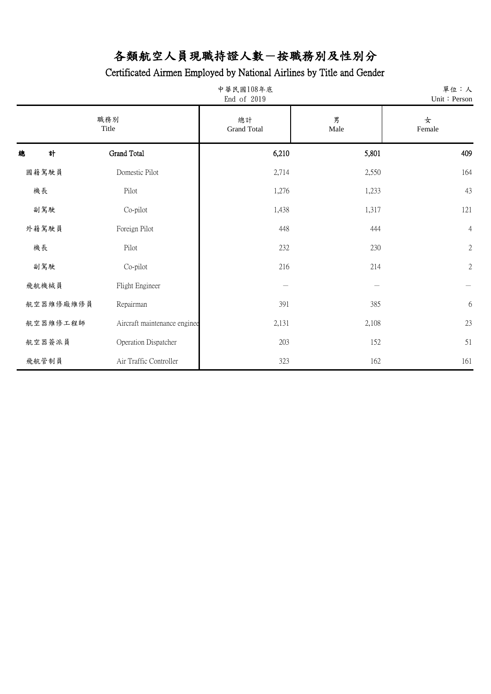| 中華民國108年底<br>End of 2019 |                              |                          | 單位:人<br>Unit: Person |                  |
|--------------------------|------------------------------|--------------------------|----------------------|------------------|
| 職務別<br>Title             |                              | 總計<br><b>Grand Total</b> | 男<br>Male            | 女<br>Female      |
| 計<br>總                   | Grand Total                  | 6,210                    | 5,801                | 409              |
| 國籍駕駛員                    | Domestic Pilot               | 2,714                    | 2,550                | 164              |
| 機長                       | Pilot                        | 1,276                    | 1,233                | 43               |
| 副駕駛                      | Co-pilot                     | 1,438                    | 1,317                | 121              |
| 外籍駕駛員                    | Foreign Pilot                | 448                      | 444                  | $\overline{4}$   |
| 機長                       | Pilot                        | 232                      | 230                  | $\sqrt{2}$       |
| 副駕駛                      | Co-pilot                     | 216                      | 214                  | $\sqrt{2}$       |
| 飛航機械員                    | Flight Engineer              |                          |                      |                  |
| 航空器維修廠維修員                | Repairman                    | 391                      | 385                  | $\boldsymbol{6}$ |
| 航空器維修工程師                 | Aircraft maintenance enginee | 2,131                    | 2,108                | 23               |
| 航空器簽派員                   | Operation Dispatcher         | 203                      | 152                  | 51               |
| 飛航管制員                    | Air Traffic Controller       | 323                      | 162                  | 161              |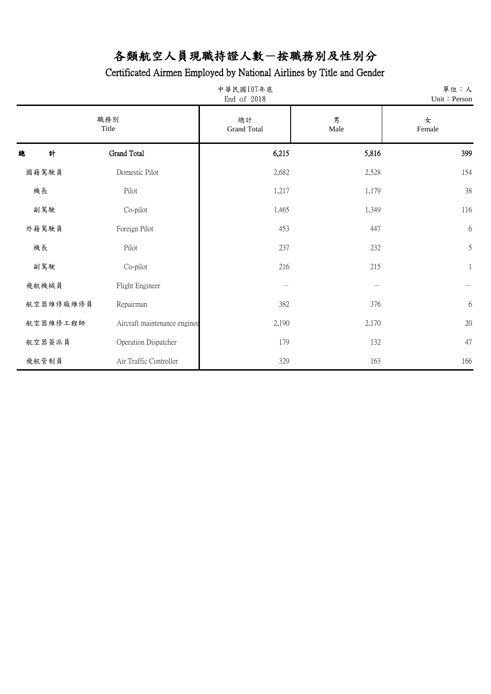| 中華民國107年底<br>End of 2018 |                              |                          | 單位:人<br>Unit: Person |                  |
|--------------------------|------------------------------|--------------------------|----------------------|------------------|
| 職務別<br>Title             |                              | 總計<br><b>Grand Total</b> | 男<br>Male            | 女<br>Female      |
| 計<br>總                   | Grand Total                  | 6,215                    | 5,816                | 399              |
| 國籍駕駛員                    | Domestic Pilot               | 2,682                    | 2,528                | 154              |
| 機長                       | Pilot                        | 1,217                    | 1,179                | 38               |
| 副駕駛                      | Co-pilot                     | 1,465                    | 1,349                | 116              |
| 外籍駕駛員                    | Foreign Pilot                | 453                      | 447                  | 6                |
| 機長                       | Pilot                        | 237                      | 232                  | 5                |
| 副駕駛                      | Co-pilot                     | 216                      | 215                  | $\mathbf{1}$     |
| 飛航機械員                    | Flight Engineer              |                          |                      |                  |
| 航空器維修廠維修員                | Repairman                    | 382                      | 376                  | $\boldsymbol{6}$ |
| 航空器維修工程師                 | Aircraft maintenance enginee | 2,190                    | 2,170                | 20               |
| 航空器簽派員                   | Operation Dispatcher         | 179                      | 132                  | 47               |
| 飛航管制員                    | Air Traffic Controller       | 329                      | 163                  | 166              |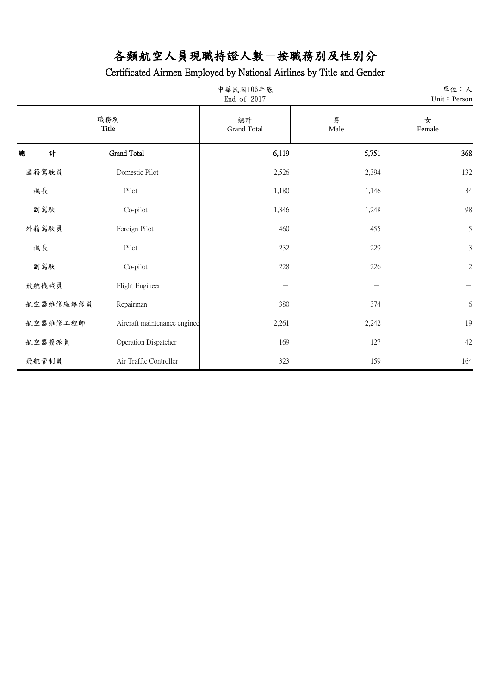| 中華民國106年底<br>End of 2017 |                              |                          |           | 單位:人<br>Unit: Person |
|--------------------------|------------------------------|--------------------------|-----------|----------------------|
| 職務別<br>Title             |                              | 總計<br><b>Grand Total</b> | 男<br>Male | 女<br>Female          |
| 計<br>總                   | Grand Total                  | 6,119                    | 5,751     | 368                  |
| 國籍駕駛員                    | Domestic Pilot               | 2,526                    | 2,394     | 132                  |
| 機長                       | Pilot                        | 1,180                    | 1,146     | 34                   |
| 副駕駛                      | Co-pilot                     | 1,346                    | 1,248     | 98                   |
| 外籍駕駛員                    | Foreign Pilot                | 460                      | 455       | 5                    |
| 機長                       | Pilot                        | 232                      | 229       | $\mathfrak{Z}$       |
| 副駕駛                      | Co-pilot                     | 228                      | 226       | $\sqrt{2}$           |
| 飛航機械員                    | Flight Engineer              |                          |           |                      |
| 航空器維修廠維修員                | Repairman                    | 380                      | 374       | $\boldsymbol{6}$     |
| 航空器維修工程師                 | Aircraft maintenance enginee | 2,261                    | 2,242     | 19                   |
| 航空器簽派員                   | Operation Dispatcher         | 169                      | 127       | 42                   |
| 飛航管制員                    | Air Traffic Controller       | 323                      | 159       | 164                  |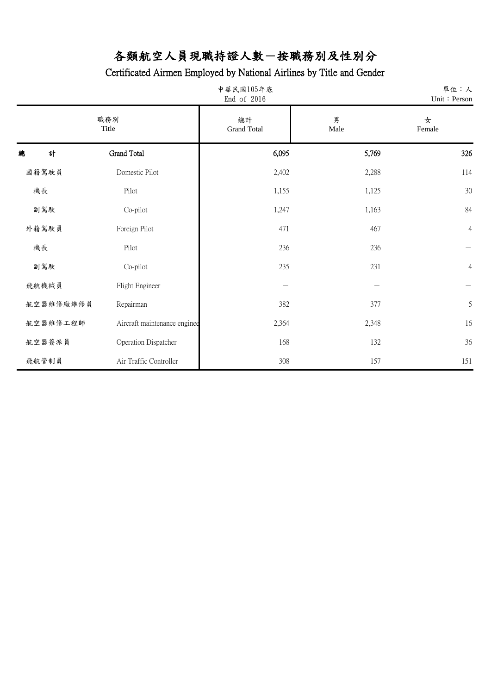| 中華民國105年底<br>End of 2016 |                              |                          | 單位:人<br>Unit: Person |                |
|--------------------------|------------------------------|--------------------------|----------------------|----------------|
| 職務別<br>Title             |                              | 總計<br><b>Grand Total</b> | 男<br>Male            | 女<br>Female    |
| 計<br>總                   | Grand Total                  | 6,095                    | 5,769                | 326            |
| 國籍駕駛員                    | Domestic Pilot               | 2,402                    | 2,288                | 114            |
| 機長                       | Pilot                        | 1,155                    | 1,125                | 30             |
| 副駕駛                      | Co-pilot                     | 1,247                    | 1,163                | 84             |
| 外籍駕駛員                    | Foreign Pilot                | 471                      | 467                  | $\overline{4}$ |
| 機長                       | Pilot                        | 236                      | 236                  |                |
| 副駕駛                      | Co-pilot                     | 235                      | 231                  | $\overline{4}$ |
| 飛航機械員                    | Flight Engineer              |                          |                      |                |
| 航空器維修廠維修員                | Repairman                    | 382                      | 377                  | 5              |
| 航空器維修工程師                 | Aircraft maintenance enginee | 2,364                    | 2,348                | 16             |
| 航空器簽派員                   | Operation Dispatcher         | 168                      | 132                  | 36             |
| 飛航管制員                    | Air Traffic Controller       | 308                      | 157                  | 151            |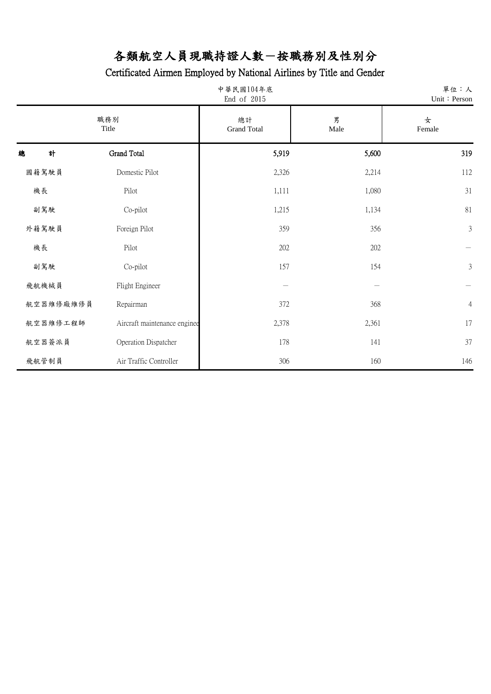| 中華民國104年底<br>End of 2015 |                              |                          |           | 單位:人<br>Unit: Person |
|--------------------------|------------------------------|--------------------------|-----------|----------------------|
| 職務別<br>Title             |                              | 總計<br><b>Grand Total</b> | 男<br>Male | 女<br>Female          |
| 計<br>總                   | Grand Total                  | 5,919                    | 5,600     | 319                  |
| 國籍駕駛員                    | Domestic Pilot               | 2,326                    | 2,214     | 112                  |
| 機長                       | Pilot                        | 1,111                    | 1,080     | 31                   |
| 副駕駛                      | Co-pilot                     | 1,215                    | 1,134     | 81                   |
| 外籍駕駛員                    | Foreign Pilot                | 359                      | 356       | $\mathfrak{Z}$       |
| 機長                       | Pilot                        | 202                      | 202       |                      |
| 副駕駛                      | Co-pilot                     | 157                      | 154       | $\mathfrak{Z}$       |
| 飛航機械員                    | Flight Engineer              |                          |           |                      |
| 航空器維修廠維修員                | Repairman                    | 372                      | 368       | $\overline{4}$       |
| 航空器維修工程師                 | Aircraft maintenance enginee | 2,378                    | 2,361     | 17                   |
| 航空器簽派員                   | Operation Dispatcher         | 178                      | 141       | 37                   |
| 飛航管制員                    | Air Traffic Controller       | 306                      | 160       | 146                  |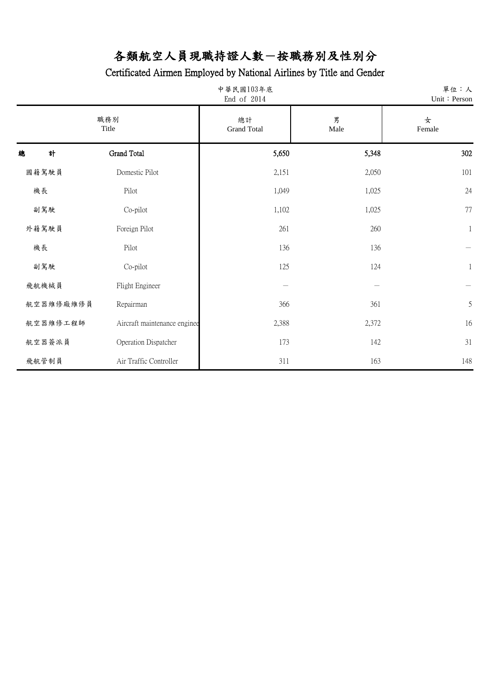| 中華民國103年底<br>End of 2014 |                              |                          | 單位:人<br>Unit: Person |              |
|--------------------------|------------------------------|--------------------------|----------------------|--------------|
|                          | 職務別<br>Title                 | 總計<br><b>Grand Total</b> | 男<br>Male            | 女<br>Female  |
| 計<br>總                   | Grand Total                  | 5,650                    | 5,348                | 302          |
| 國籍駕駛員                    | Domestic Pilot               | 2,151                    | 2,050                | 101          |
| 機長                       | Pilot                        | 1,049                    | 1,025                | 24           |
| 副駕駛                      | Co-pilot                     | 1,102                    | 1,025                | 77           |
| 外籍駕駛員                    | Foreign Pilot                | 261                      | 260                  | $\mathbf{1}$ |
| 機長                       | Pilot                        | 136                      | 136                  |              |
| 副駕駛                      | Co-pilot                     | 125                      | 124                  | $\mathbf{1}$ |
| 飛航機械員                    | Flight Engineer              |                          |                      |              |
| 航空器維修廠維修員                | Repairman                    | 366                      | 361                  | 5            |
| 航空器維修工程師                 | Aircraft maintenance enginee | 2,388                    | 2,372                | 16           |
| 航空器簽派員                   | Operation Dispatcher         | 173                      | 142                  | 31           |
| 飛航管制員                    | Air Traffic Controller       | 311                      | 163                  | 148          |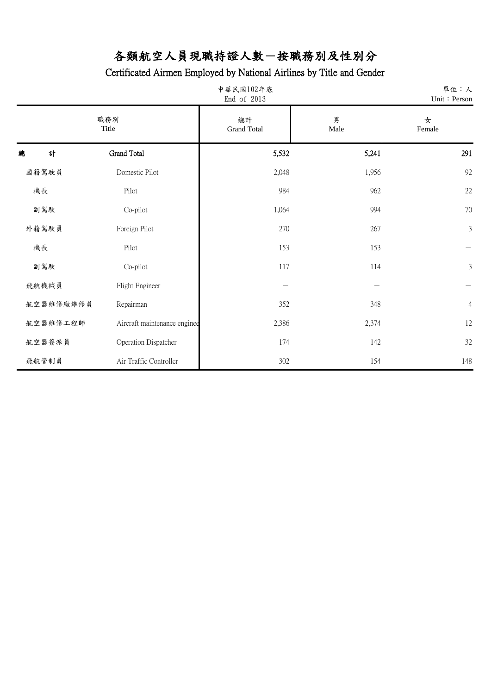| 中華民國102年底<br>End of 2013 |                              |                          | 單位:人<br>Unit: Person |                |
|--------------------------|------------------------------|--------------------------|----------------------|----------------|
| 職務別<br>Title             |                              | 總計<br><b>Grand Total</b> | 男<br>Male            | 女<br>Female    |
| 計<br>總                   | Grand Total                  | 5,532                    | 5,241                | 291            |
| 國籍駕駛員                    | Domestic Pilot               | 2,048                    | 1,956                | 92             |
| 機長                       | Pilot                        | 984                      | 962                  | 22             |
| 副駕駛                      | Co-pilot                     | 1,064                    | 994                  | 70             |
| 外籍駕駛員                    | Foreign Pilot                | 270                      | 267                  | $\mathfrak{Z}$ |
| 機長                       | Pilot                        | 153                      | 153                  |                |
| 副駕駛                      | Co-pilot                     | 117                      | 114                  | $\mathfrak{Z}$ |
| 飛航機械員                    | Flight Engineer              |                          |                      |                |
| 航空器維修廠維修員                | Repairman                    | 352                      | 348                  | $\overline{4}$ |
| 航空器維修工程師                 | Aircraft maintenance enginee | 2,386                    | 2,374                | 12             |
| 航空器簽派員                   | Operation Dispatcher         | 174                      | 142                  | 32             |
| 飛航管制員                    | Air Traffic Controller       | 302                      | 154                  | 148            |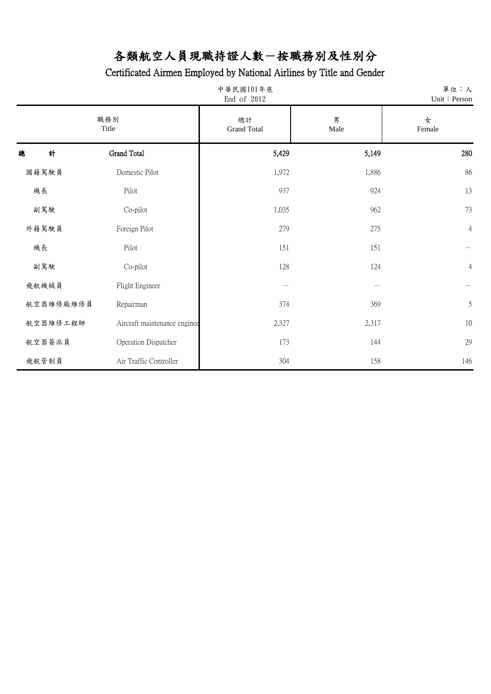|   | 中華民國101年底<br>End of 2012 |                              |                          | 單位:人<br>Unit: Person |                |
|---|--------------------------|------------------------------|--------------------------|----------------------|----------------|
|   | 職務別<br>Title             |                              | 總計<br><b>Grand Total</b> | 男<br>Male            | 女<br>Female    |
| 總 | 計                        | Grand Total                  | 5,429                    | 5,149                | 280            |
|   | 國籍駕駛員                    | Domestic Pilot               | 1,972                    | 1,886                | 86             |
|   | 機長                       | Pilot                        | 937                      | 924                  | 13             |
|   | 副駕駛                      | Co-pilot                     | 1,035                    | 962                  | 73             |
|   | 外籍駕駛員                    | Foreign Pilot                | 279                      | 275                  | $\overline{4}$ |
|   | 機長                       | Pilot                        | 151                      | 151                  |                |
|   | 副駕駛                      | Co-pilot                     | 128                      | 124                  | $\overline{4}$ |
|   | 飛航機械員                    | Flight Engineer              |                          |                      |                |
|   | 航空器維修廠維修員                | Repairman                    | 374                      | 369                  | $\mathfrak s$  |
|   | 航空器維修工程師                 | Aircraft maintenance enginee | 2,327                    | 2,317                | 10             |
|   | 航空器簽派員                   | Operation Dispatcher         | 173                      | 144                  | 29             |
|   | 飛航管制員                    | Air Traffic Controller       | 304                      | 158                  | 146            |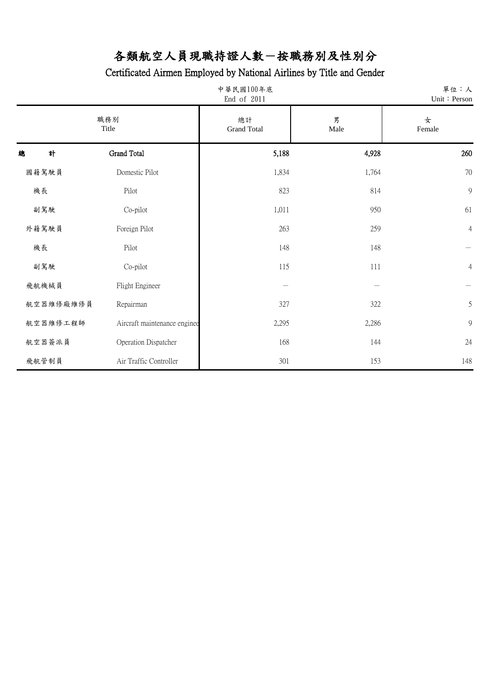| 中華民國100年底<br>End of 2011 |                              |                          | 單位:人<br>Unit: Person |                |
|--------------------------|------------------------------|--------------------------|----------------------|----------------|
| 職務別<br>Title             |                              | 總計<br><b>Grand Total</b> | 男<br>Male            | 女<br>Female    |
| 計<br>總                   | Grand Total                  | 5,188                    | 4,928                | 260            |
| 國籍駕駛員                    | Domestic Pilot               | 1,834                    | 1,764                | 70             |
| 機長                       | Pilot                        | 823                      | 814                  | 9              |
| 副駕駛                      | Co-pilot                     | 1,011                    | 950                  | 61             |
| 外籍駕駛員                    | Foreign Pilot                | 263                      | 259                  | $\overline{4}$ |
| 機長                       | Pilot                        | 148                      | 148                  |                |
| 副駕駛                      | Co-pilot                     | 115                      | 111                  | $\overline{4}$ |
| 飛航機械員                    | Flight Engineer              |                          |                      |                |
| 航空器維修廠維修員                | Repairman                    | 327                      | 322                  | 5              |
| 航空器維修工程師                 | Aircraft maintenance enginee | 2,295                    | 2,286                | 9              |
| 航空器簽派員                   | Operation Dispatcher         | 168                      | 144                  | 24             |
| 飛航管制員                    | Air Traffic Controller       | 301                      | 153                  | 148            |